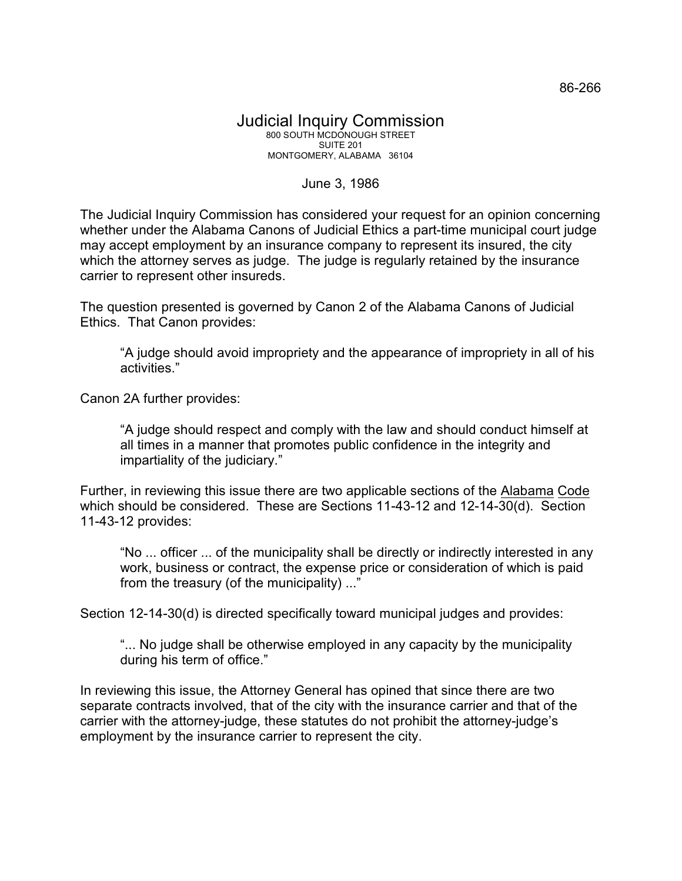## June 3, 1986

The Judicial Inquiry Commission has considered your request for an opinion concerning whether under the Alabama Canons of Judicial Ethics a part-time municipal court judge may accept employment by an insurance company to represent its insured, the city which the attorney serves as judge. The judge is regularly retained by the insurance carrier to represent other insureds.

The question presented is governed by Canon 2 of the Alabama Canons of Judicial Ethics. That Canon provides:

"A judge should avoid impropriety and the appearance of impropriety in all of his activities."

Canon 2A further provides:

"A judge should respect and comply with the law and should conduct himself at all times in a manner that promotes public confidence in the integrity and impartiality of the judiciary."

Further, in reviewing this issue there are two applicable sections of the Alabama Code which should be considered. These are Sections 11-43-12 and 12-14-30(d). Section 11-43-12 provides:

"No ... officer ... of the municipality shall be directly or indirectly interested in any work, business or contract, the expense price or consideration of which is paid from the treasury (of the municipality) ..."

Section 12-14-30(d) is directed specifically toward municipal judges and provides:

"... No judge shall be otherwise employed in any capacity by the municipality during his term of office."

In reviewing this issue, the Attorney General has opined that since there are two separate contracts involved, that of the city with the insurance carrier and that of the carrier with the attorney-judge, these statutes do not prohibit the attorney-judge's employment by the insurance carrier to represent the city.